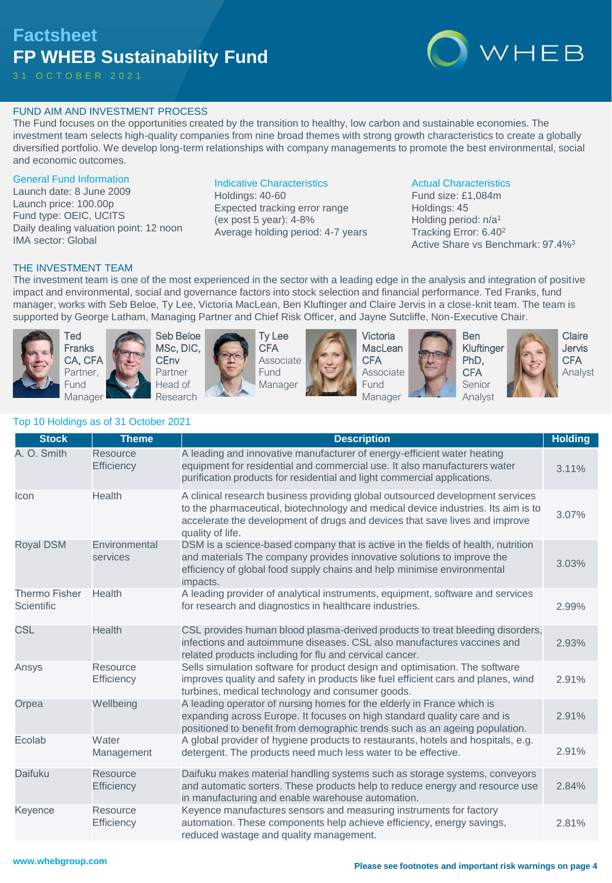# **Factsheet FP WHEB Sustainability Fund**

3 1 O C T O B E R 2 0 2 1



# FUND AIM AND INVESTMENT PROCESS

The Fund focuses on the opportunities created by the transition to healthy, low carbon and sustainable economies. The investment team selects high-quality companies from nine broad themes with strong growth characteristics to create a globally diversified portfolio. We develop long-term relationships with company managements to promote the best environmental, social and economic outcomes.

#### General Fund Information

Launch date: 8 June 2009 Launch price: 100.00p Fund type: OEIC, UCITS Daily dealing valuation point: 12 noon IMA sector: Global

# Indicative Characteristics

Holdings: 40-60 Expected tracking error range (ex post 5 year): 4-8% Average holding period: 4-7 years

## Actual Characteristics

Fund size: £1,084m Holdings: 45 Holding period: n/a<sup>1</sup> Tracking Error: 6.40<sup>2</sup> Active Share vs Benchmark: 97.4%<sup>3</sup>

# THE INVESTMENT TEAM

The investment team is one of the most experienced in the sector with a leading edge in the analysis and integration of positive impact and environmental, social and governance factors into stock selection and financial performance. Ted Franks, fund manager, works with Seb Beloe, Ty Lee, Victoria MacLean, Ben Kluftinger and Claire Jervis in a close-knit team. The team is supported by George Latham, Managing Partner and Chief Risk Officer, and Jayne Sutcliffe, Non-Executive Chair.



Ted Franks CA, CFA Partner, Fund Manager





Ty Lee **CFA** Associate Fund Manager



Victoria **MacLean CFA** Associate **Fund** Manager





Ben Kluftinger PhD, **CFA** Senior Analyst



Claire Jervis **CFA** Analyst

# Top 10 Holdings as of 31 October 2021

| <b>Stock</b>                       | <b>Theme</b>                  | <b>Description</b>                                                                                                                                                                                                                                                    | <b>Holding</b> |
|------------------------------------|-------------------------------|-----------------------------------------------------------------------------------------------------------------------------------------------------------------------------------------------------------------------------------------------------------------------|----------------|
| A. O. Smith                        | Resource<br><b>Efficiency</b> | A leading and innovative manufacturer of energy-efficient water heating<br>equipment for residential and commercial use. It also manufacturers water<br>purification products for residential and light commercial applications.                                      | 3.11%          |
| Icon                               | Health                        | A clinical research business providing global outsourced development services<br>to the pharmaceutical, biotechnology and medical device industries. Its aim is to<br>accelerate the development of drugs and devices that save lives and improve<br>quality of life. | 3.07%          |
| <b>Royal DSM</b>                   | Environmental<br>services     | DSM is a science-based company that is active in the fields of health, nutrition<br>and materials The company provides innovative solutions to improve the<br>efficiency of global food supply chains and help minimise environmental<br>impacts.                     | 3.03%          |
| <b>Thermo Fisher</b><br>Scientific | Health                        | A leading provider of analytical instruments, equipment, software and services<br>for research and diagnostics in healthcare industries.                                                                                                                              | 2.99%          |
| <b>CSL</b>                         | Health                        | CSL provides human blood plasma-derived products to treat bleeding disorders,<br>infections and autoimmune diseases. CSL also manufactures vaccines and<br>related products including for flu and cervical cancer.                                                    | 2.93%          |
| Ansys                              | Resource<br>Efficiency        | Sells simulation software for product design and optimisation. The software<br>improves quality and safety in products like fuel efficient cars and planes, wind<br>turbines, medical technology and consumer goods.                                                  | 2.91%          |
| Orpea                              | Wellbeing                     | A leading operator of nursing homes for the elderly in France which is<br>expanding across Europe. It focuses on high standard quality care and is<br>positioned to benefit from demographic trends such as an ageing population.                                     | 2.91%          |
| Ecolab                             | Water<br>Management           | A global provider of hygiene products to restaurants, hotels and hospitals, e.g.<br>detergent. The products need much less water to be effective.                                                                                                                     | 2.91%          |
| Daifuku                            | Resource<br><b>Efficiency</b> | Daifuku makes material handling systems such as storage systems, conveyors<br>and automatic sorters. These products help to reduce energy and resource use<br>in manufacturing and enable warehouse automation.                                                       | 2.84%          |
| Keyence                            | Resource<br>Efficiency        | Keyence manufactures sensors and measuring instruments for factory<br>automation. These components help achieve efficiency, energy savings,<br>reduced wastage and quality management.                                                                                | 2.81%          |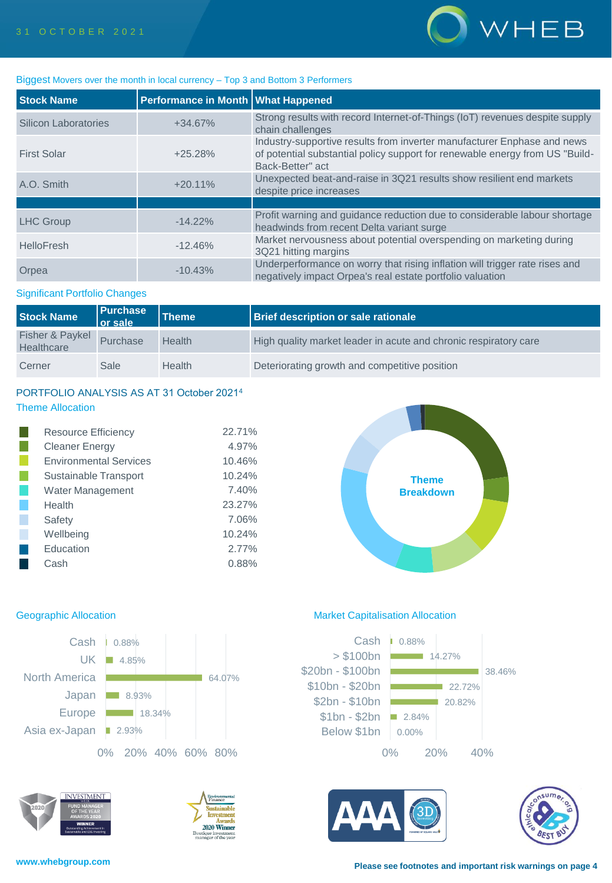

### Biggest Movers over the month in local currency – Top 3 and Bottom 3 Performers

| <b>Stock Name</b>    | Performance in Month   What Happened |                                                                                                                                                                             |
|----------------------|--------------------------------------|-----------------------------------------------------------------------------------------------------------------------------------------------------------------------------|
| Silicon Laboratories | $+34.67%$                            | Strong results with record Internet-of-Things (IoT) revenues despite supply<br>chain challenges                                                                             |
| <b>First Solar</b>   | $+25.28%$                            | Industry-supportive results from inverter manufacturer Enphase and news<br>of potential substantial policy support for renewable energy from US "Build-<br>Back-Better" act |
| A.O. Smith           | $+20.11\%$                           | Unexpected beat-and-raise in 3Q21 results show resilient end markets<br>despite price increases                                                                             |
|                      |                                      |                                                                                                                                                                             |
| <b>LHC Group</b>     | $-14.22\%$                           | Profit warning and guidance reduction due to considerable labour shortage<br>headwinds from recent Delta variant surge                                                      |
| HelloFresh           | $-12.46%$                            | Market nervousness about potential overspending on marketing during<br>3Q21 hitting margins                                                                                 |
| Orpea                | $-10.43%$                            | Underperformance on worry that rising inflation will trigger rate rises and<br>negatively impact Orpea's real estate portfolio valuation                                    |

#### Significant Portfolio Changes

| <b>Stock Name</b>             | <b>Purchase</b><br>$\overline{\phantom{a}}$ or sale | Theme  | <b>Brief description or sale rationale</b>                       |
|-------------------------------|-----------------------------------------------------|--------|------------------------------------------------------------------|
| Fisher & Paykel<br>Healthcare | Purchase                                            | Health | High quality market leader in acute and chronic respiratory care |
| Cerner                        | Sale                                                | Health | Deteriorating growth and competitive position                    |

# PORTFOLIO ANALYSIS AS AT 31 October 2021<sup>4</sup> Theme Allocation

| <b>Resource Efficiency</b>    | 22.71% |
|-------------------------------|--------|
| <b>Cleaner Energy</b>         | 4.97%  |
| <b>Environmental Services</b> | 10.46% |
| Sustainable Transport         | 10.24% |
| <b>Water Management</b>       | 7.40%  |
| Health                        | 23.27% |
| Safety                        | 7.06%  |
| Wellbeing                     | 10.24% |
| Education                     | 2.77%  |
| Cash                          | 0.88%  |









# Geographic Allocation **Market Capitalisation Allocation** Market Capitalisation Allocation





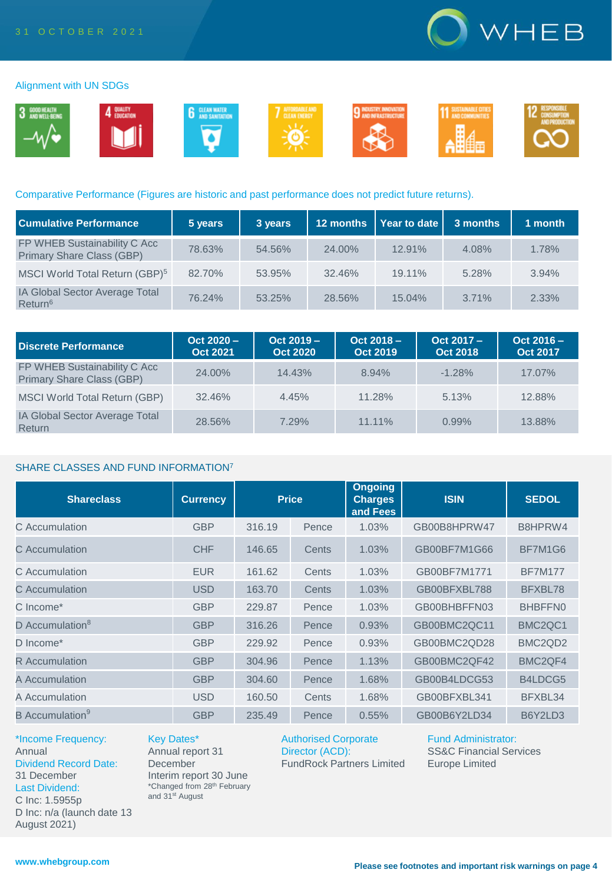

#### Alignment with UN SDGs



## Comparative Performance (Figures are historic and past performance does not predict future returns).

| <b>Cumulative Performance</b>                                | 5 years | 3 years | 12 months | $\vert$ Year to date $\vert$ | 3 months | 1 month |
|--------------------------------------------------------------|---------|---------|-----------|------------------------------|----------|---------|
| FP WHEB Sustainability C Acc<br>Primary Share Class (GBP)    | 78.63%  | 54.56%  | 24.00%    | 12.91%                       | 4.08%    | 1.78%   |
| MSCI World Total Return (GBP) <sup>5</sup>                   | 82.70%  | 53.95%  | 32.46%    | 19.11%                       | 5.28%    | 3.94%   |
| <b>IA Global Sector Average Total</b><br>Return <sup>6</sup> | 76.24%  | 53.25%  | 28.56%    | 15.04%                       | 3.71%    | 2.33%   |

| Discrete Performance                                             | $Oct 2020 -$<br><b>Oct 2021</b> | $Oct 2019 -$<br><b>Oct 2020</b> | $Oct 2018 -$<br><b>Oct 2019</b> | Oct 2017 -<br><b>Oct 2018</b> | $Oct 2016 -$<br><b>Oct 2017</b> |
|------------------------------------------------------------------|---------------------------------|---------------------------------|---------------------------------|-------------------------------|---------------------------------|
| FP WHEB Sustainability C Acc<br><b>Primary Share Class (GBP)</b> | 24.00%                          | 14.43%                          | 8.94%                           | $-1.28%$                      | 17.07%                          |
| MSCI World Total Return (GBP)                                    | 32.46%                          | 4.45%                           | 11.28%                          | 5.13%                         | 12.88%                          |
| IA Global Sector Average Total<br>Return                         | 28.56%                          | 7.29%                           | $11.11\%$                       | 0.99%                         | 13.88%                          |

### SHARE CLASSES AND FUND INFORMATION<sup>7</sup>

| <b>Shareclass</b>           | <b>Currency</b> | <b>Price</b> |       | <b>Ongoing</b><br><b>Charges</b><br>and Fees | <b>ISIN</b>  | <b>SEDOL</b>                     |
|-----------------------------|-----------------|--------------|-------|----------------------------------------------|--------------|----------------------------------|
| C Accumulation              | <b>GBP</b>      | 316.19       | Pence | 1.03%                                        | GB00B8HPRW47 | B8HPRW4                          |
| C Accumulation              | <b>CHF</b>      | 146.65       | Cents | 1.03%                                        | GB00BF7M1G66 | BF7M1G6                          |
| C. Accumulation             | <b>EUR</b>      | 161.62       | Cents | 1.03%                                        | GB00BF7M1771 | <b>BF7M177</b>                   |
| C Accumulation              | <b>USD</b>      | 163.70       | Cents | 1.03%                                        | GB00BFXBL788 | BFXBL78                          |
| C Income*                   | <b>GBP</b>      | 229.87       | Pence | 1.03%                                        | GB00BHBFFN03 | BHBFFN0                          |
| D Accumulation <sup>8</sup> | <b>GBP</b>      | 316.26       | Pence | 0.93%                                        | GB00BMC2QC11 | BMC <sub>2</sub> QC <sub>1</sub> |
| D Income*                   | <b>GBP</b>      | 229.92       | Pence | 0.93%                                        | GB00BMC2QD28 | BMC <sub>2</sub> Q <sub>D2</sub> |
| <b>R</b> Accumulation       | <b>GBP</b>      | 304.96       | Pence | 1.13%                                        | GB00BMC2QF42 | BMC <sub>2</sub> QF4             |
| A Accumulation              | <b>GBP</b>      | 304.60       | Pence | 1.68%                                        | GB00B4LDCG53 | B4LDCG5                          |
| A Accumulation              | <b>USD</b>      | 160.50       | Cents | 1.68%                                        | GB00BFXBL341 | BFXBL34                          |
| B Accumulation <sup>9</sup> | <b>GBP</b>      | 235.49       | Pence | 0.55%                                        | GB00B6Y2LD34 | B6Y2LD3                          |

\*Income Frequency: Annual Dividend Record Date: 31 December Last Dividend: C Inc: 1.5955p D Inc: n/a (launch date 13 August 2021)

Key Dates\* Annual report 31

**December** Interim report 30 June \*Changed from 28th February and 31<sup>st</sup> August

Authorised Corporate Director (ACD): FundRock Partners Limited Fund Administrator: SS&C Financial Services Europe Limited